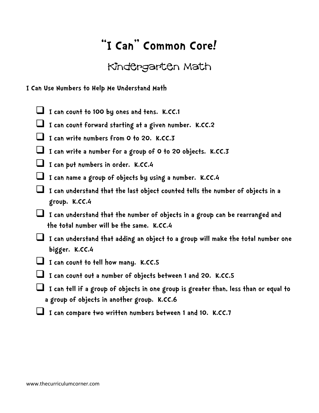## **"I Can" Common Core!**

## Kindergarten Math

**I Can Use Numbers to Help Me Understand Math**

- **I can count to 100 by ones and tens. K.CC.1**
- **I can count forward starting at a given number. K.CC.2**
- **I can write numbers from 0 to 20. K.CC.3**
- **I can write a number for a group of 0 to 20 objects. K.CC.3**
- I can put numbers in order. K.CC.4
- **I can name a group of objects by using a number. K.CC.4**
- **I can understand that the last object counted tells the number of objects in a group. K.CC.4**
- **I can understand that the number of objects in a group can be rearranged and the total number will be the same. K.CC.4**
- **I can understand that adding an object to a group will make the total number one bigger. K.CC.4**
- **I can count to tell how many. K.CC.5**
- **I can count out a number of objects between 1 and 20. K.CC.5**
- **I can tell if a group of objects in one group is greater than, less than or equal to a group of objects in another group. K.CC.6**
- **I can compare two written numbers between 1 and 10. K.CC.7**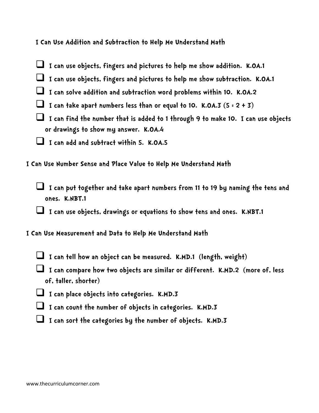**I Can Use Addition and Subtraction to Help Me Understand Math**

- **I can use objects, fingers and pictures to help me show addition. K.OA.1**
- **I can use objects, fingers and pictures to help me show subtraction. K.OA.1**
- **I can solve addition and subtraction word problems within 10. K.OA.2**
- I can take apart numbers less than or equal to 10. K.OA.3  $(5 \div 2 + 3)$
- **I can find the number that is added to 1 through 9 to make 10. I can use objects or drawings to show my answer. K.OA.4**
- **I can add and subtract within 5. K.OA.5**

**I Can Use Number Sense and Place Value to Help Me Understand Math**

 **I can put together and take apart numbers from 11 to 19 by naming the tens and ones. K.NBT.1**

 **I can use objects, drawings or equations to show tens and ones. K.NBT.1**

- **I Can Use Measurement and Data to Help Me Understand Math**
	- **I can tell how an object can be measured. K.MD.1 (length, weight)**
	- **I can compare how two objects are similar or different. K.MD.2 (more of, less of, taller, shorter)**
	- **I can place objects into categories. K.MD.3**
	- **I can count the number of objects in categories. K.MD.3**
	- I can sort the categories by the number of objects. K.MD.3